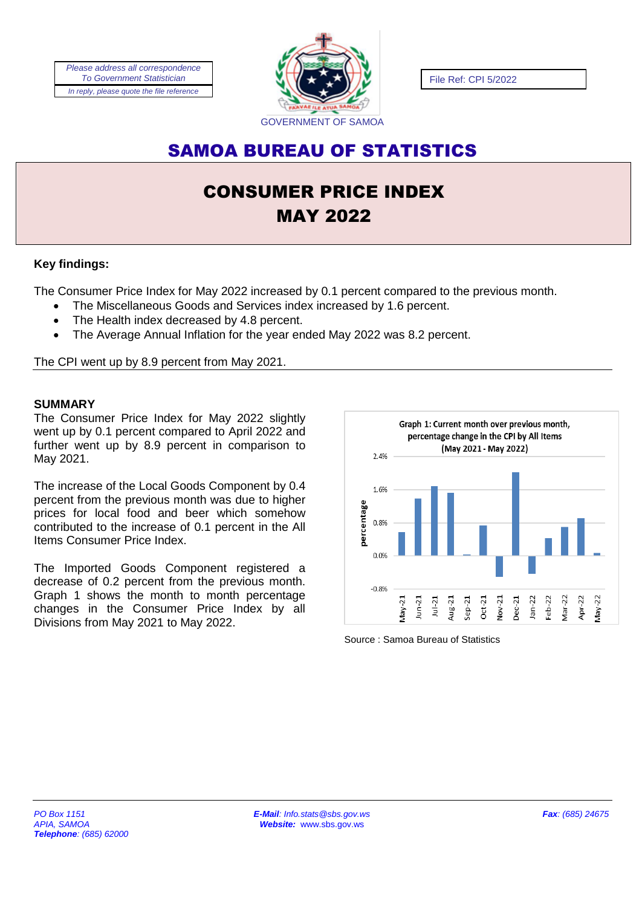*Please address all correspondence To Government Statistician In reply, please quote the file reference*



File Ref: CPI 5/2022

## SAMOA BUREAU OF STATISTICS

# CONSUMER PRICE INDEX MAY 2022

## **Key findings:**

The Consumer Price Index for May 2022 increased by 0.1 percent compared to the previous month.

- The Miscellaneous Goods and Services index increased by 1.6 percent.
- The Health index decreased by 4.8 percent.
- The Average Annual Inflation for the year ended May 2022 was 8.2 percent.

The CPI went up by 8.9 percent from May 2021.

### **SUMMARY**

The Consumer Price Index for May 2022 slightly went up by 0.1 percent compared to April 2022 and further went up by 8.9 percent in comparison to May 2021.

The increase of the Local Goods Component by 0.4 percent from the previous month was due to higher prices for local food and beer which somehow contributed to the increase of 0.1 percent in the All Items Consumer Price Index.

The Imported Goods Component registered a decrease of 0.2 percent from the previous month. Graph 1 shows the month to month percentage changes in the Consumer Price Index by all Divisions from May 2021 to May 2022.



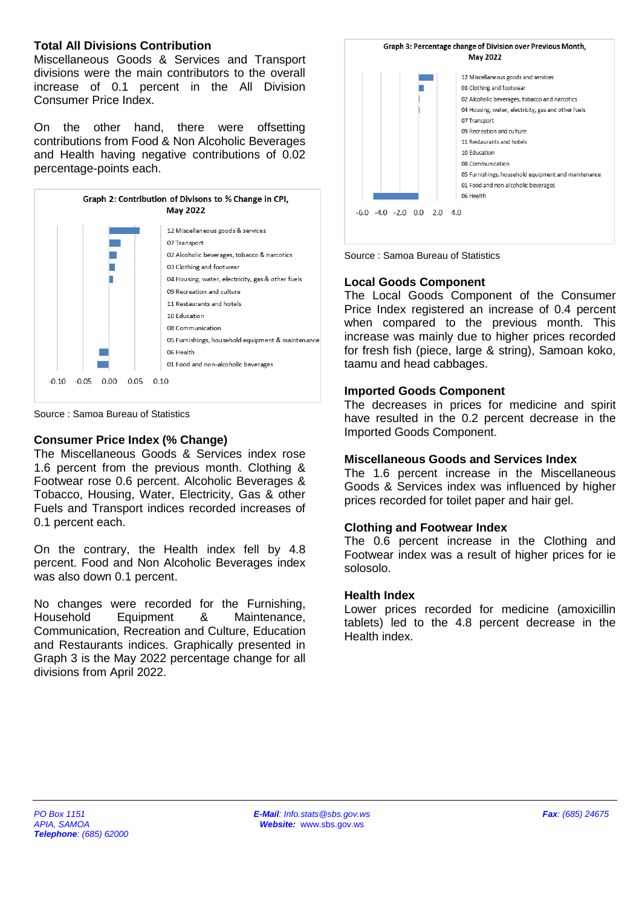#### **Total All Divisions Contribution**

Miscellaneous Goods & Services and Transport divisions were the main contributors to the overall increase of 0.1 percent in the All Division Consumer Price Index.

On the other hand, there were offsetting contributions from Food & Non Alcoholic Beverages and Health having negative contributions of 0.02 percentage-points each.



Source : Samoa Bureau of Statistics

## **Consumer Price Index (% Change)**

The Miscellaneous Goods & Services index rose 1.6 percent from the previous month. Clothing & Footwear rose 0.6 percent. Alcoholic Beverages & Tobacco, Housing, Water, Electricity, Gas & other Fuels and Transport indices recorded increases of 0.1 percent each.

On the contrary, the Health index fell by 4.8 percent. Food and Non Alcoholic Beverages index was also down 0.1 percent.

No changes were recorded for the Furnishing, Household Equipment & Maintenance, Communication, Recreation and Culture, Education and Restaurants indices. Graphically presented in Graph 3 is the May 2022 percentage change for all divisions from April 2022.





## **Local Goods Component**

The Local Goods Component of the Consumer Price Index registered an increase of 0.4 percent when compared to the previous month. This increase was mainly due to higher prices recorded for fresh fish (piece, large & string), Samoan koko, taamu and head cabbages.

## **Imported Goods Component**

The decreases in prices for medicine and spirit have resulted in the 0.2 percent decrease in the Imported Goods Component.

## **Miscellaneous Goods and Services Index**

The 1.6 percent increase in the Miscellaneous Goods & Services index was influenced by higher prices recorded for toilet paper and hair gel.

## **Clothing and Footwear Index**

The 0.6 percent increase in the Clothing and Footwear index was a result of higher prices for ie solosolo.

## **Health Index**

Lower prices recorded for medicine (amoxicillin tablets) led to the 4.8 percent decrease in the Health index.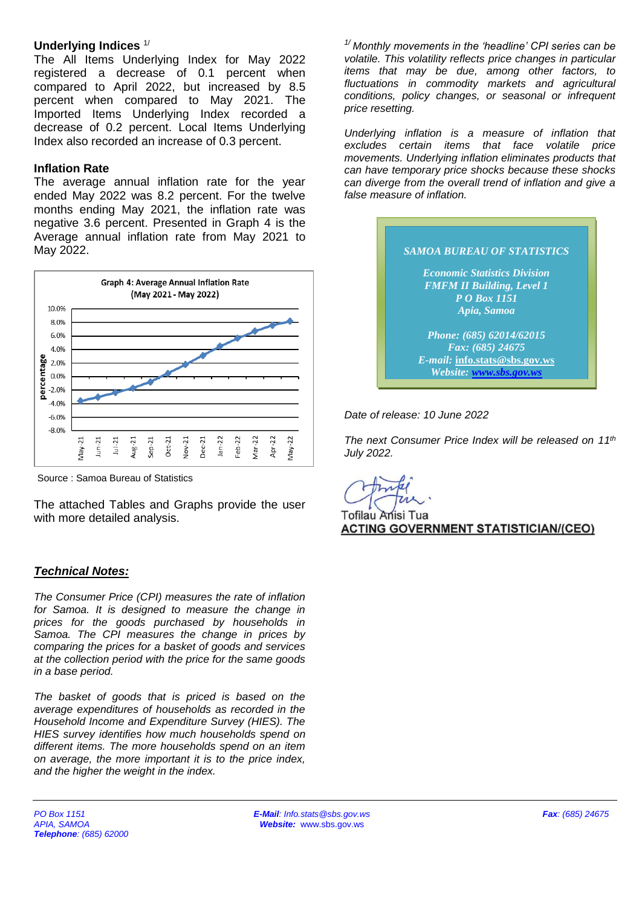#### **Underlying Indices** 1/

The All Items Underlying Index for May 2022 registered a decrease of 0.1 percent when compared to April 2022, but increased by 8.5 percent when compared to May 2021. The Imported Items Underlying Index recorded a decrease of 0.2 percent. Local Items Underlying Index also recorded an increase of 0.3 percent.

#### **Inflation Rate**

The average annual inflation rate for the year ended May 2022 was 8.2 percent. For the twelve months ending May 2021, the inflation rate was negative 3.6 percent. Presented in Graph 4 is the Average annual inflation rate from May 2021 to May 2022.



Source : Samoa Bureau of Statistics

The attached Tables and Graphs provide the user with more detailed analysis.

#### *Technical Notes:*

*The Consumer Price (CPI) measures the rate of inflation for Samoa. It is designed to measure the change in prices for the goods purchased by households in Samoa. The CPI measures the change in prices by comparing the prices for a basket of goods and services at the collection period with the price for the same goods in a base period.* 

*The basket of goods that is priced is based on the average expenditures of households as recorded in the Household Income and Expenditure Survey (HIES). The HIES survey identifies how much households spend on different items. The more households spend on an item on average, the more important it is to the price index, and the higher the weight in the index.*

*1/ Monthly movements in the 'headline' CPI series can be volatile. This volatility reflects price changes in particular items that may be due, among other factors, to fluctuations in commodity markets and agricultural conditions, policy changes, or seasonal or infrequent price resetting.* 

*Underlying inflation is a measure of inflation that excludes certain items that face volatile price movements. Underlying inflation eliminates products that can have temporary price shocks because these shocks can diverge from the overall trend of inflation and give a false measure of inflation.*



*Date of release: 10 June 2022*

*The next Consumer Price Index will be released on 11th July 2022.*

Tofilau Anisi Tua **ACTING GOVERNMENT STATISTICIAN/(CEO)**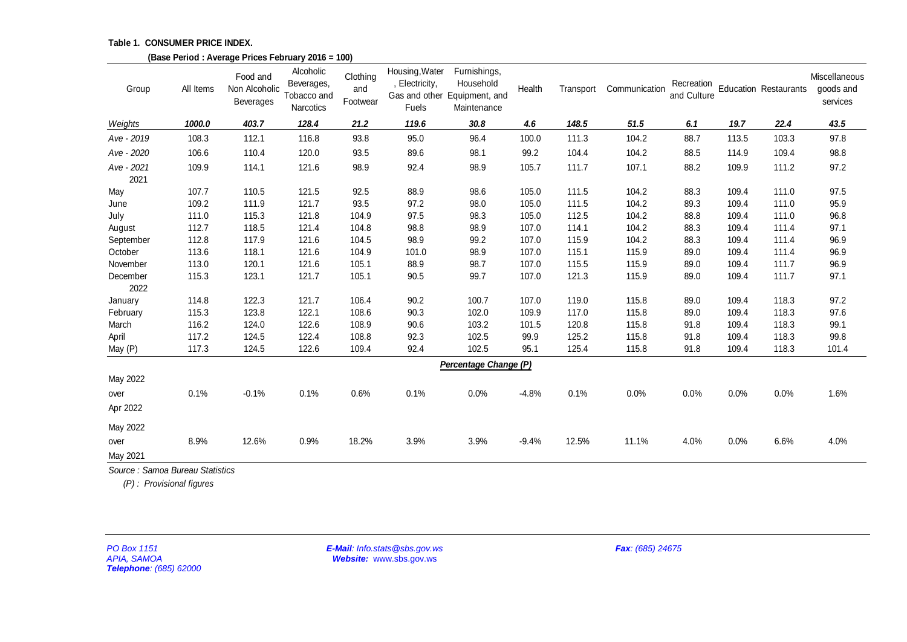#### **Table 1. CONSUMER PRICE INDEX.**

|                                                      |                          | (Base Period: Average Prices February 2016 = 100) |                                                     |                             |                                                          |                                                                          |         |           |                  |                           |       |                              |                                        |
|------------------------------------------------------|--------------------------|---------------------------------------------------|-----------------------------------------------------|-----------------------------|----------------------------------------------------------|--------------------------------------------------------------------------|---------|-----------|------------------|---------------------------|-------|------------------------------|----------------------------------------|
| Group                                                | All Items                | Food and<br>Non Alcoholic<br>Beverages            | Alcoholic<br>Beverages,<br>Tobacco and<br>Narcotics | Clothing<br>and<br>Footwear | Housing, Water<br>, Electricity,<br><b>Fuels</b>         | Furnishings,<br>Household<br>Gas and other Equipment, and<br>Maintenance | Health  | Transport | Communication    | Recreation<br>and Culture |       | <b>Education Restaurants</b> | Miscellaneous<br>goods and<br>services |
| Weights                                              | 1000.0                   | 403.7                                             | 128.4                                               | 21.2                        | 119.6                                                    | 30.8                                                                     | 4.6     | 148.5     | 51.5             | 6.1                       | 19.7  | 22.4                         | 43.5                                   |
| Ave - 2019                                           | 108.3                    | 112.1                                             | 116.8                                               | 93.8                        | 95.0                                                     | 96.4                                                                     | 100.0   | 111.3     | 104.2            | 88.7                      | 113.5 | 103.3                        | 97.8                                   |
| Ave - 2020                                           | 106.6                    | 110.4                                             | 120.0                                               | 93.5                        | 89.6                                                     | 98.1                                                                     | 99.2    | 104.4     | 104.2            | 88.5                      | 114.9 | 109.4                        | 98.8                                   |
| Ave - 2021<br>2021                                   | 109.9                    | 114.1                                             | 121.6                                               | 98.9                        | 92.4                                                     | 98.9                                                                     | 105.7   | 111.7     | 107.1            | 88.2                      | 109.9 | 111.2                        | 97.2                                   |
| May                                                  | 107.7                    | 110.5                                             | 121.5                                               | 92.5                        | 88.9                                                     | 98.6                                                                     | 105.0   | 111.5     | 104.2            | 88.3                      | 109.4 | 111.0                        | 97.5                                   |
| June                                                 | 109.2                    | 111.9                                             | 121.7                                               | 93.5                        | 97.2                                                     | 98.0                                                                     | 105.0   | 111.5     | 104.2            | 89.3                      | 109.4 | 111.0                        | 95.9                                   |
| July                                                 | 111.0                    | 115.3                                             | 121.8                                               | 104.9                       | 97.5                                                     | 98.3                                                                     | 105.0   | 112.5     | 104.2            | 88.8                      | 109.4 | 111.0                        | 96.8                                   |
| August                                               | 112.7                    | 118.5                                             | 121.4                                               | 104.8                       | 98.8                                                     | 98.9                                                                     | 107.0   | 114.1     | 104.2            | 88.3                      | 109.4 | 111.4                        | 97.1                                   |
| September                                            | 112.8                    | 117.9                                             | 121.6                                               | 104.5                       | 98.9                                                     | 99.2                                                                     | 107.0   | 115.9     | 104.2            | 88.3                      | 109.4 | 111.4                        | 96.9                                   |
| October                                              | 113.6                    | 118.1                                             | 121.6                                               | 104.9                       | 101.0                                                    | 98.9                                                                     | 107.0   | 115.1     | 115.9            | 89.0                      | 109.4 | 111.4                        | 96.9                                   |
| November                                             | 113.0                    | 120.1                                             | 121.6                                               | 105.1                       | 88.9                                                     | 98.7                                                                     | 107.0   | 115.5     | 115.9            | 89.0                      | 109.4 | 111.7                        | 96.9                                   |
| December<br>2022                                     | 115.3                    | 123.1                                             | 121.7                                               | 105.1                       | 90.5                                                     | 99.7                                                                     | 107.0   | 121.3     | 115.9            | 89.0                      | 109.4 | 111.7                        | 97.1                                   |
| January                                              | 114.8                    | 122.3                                             | 121.7                                               | 106.4                       | 90.2                                                     | 100.7                                                                    | 107.0   | 119.0     | 115.8            | 89.0                      | 109.4 | 118.3                        | 97.2                                   |
| February                                             | 115.3                    | 123.8                                             | 122.1                                               | 108.6                       | 90.3                                                     | 102.0                                                                    | 109.9   | 117.0     | 115.8            | 89.0                      | 109.4 | 118.3                        | 97.6                                   |
| March                                                | 116.2                    | 124.0                                             | 122.6                                               | 108.9                       | 90.6                                                     | 103.2                                                                    | 101.5   | 120.8     | 115.8            | 91.8                      | 109.4 | 118.3                        | 99.1                                   |
| April                                                | 117.2                    | 124.5                                             | 122.4                                               | 108.8                       | 92.3                                                     | 102.5                                                                    | 99.9    | 125.2     | 115.8            | 91.8                      | 109.4 | 118.3                        | 99.8                                   |
| May (P)                                              | 117.3                    | 124.5                                             | 122.6                                               | 109.4                       | 92.4                                                     | 102.5                                                                    | 95.1    | 125.4     | 115.8            | 91.8                      | 109.4 | 118.3                        | 101.4                                  |
|                                                      |                          |                                                   |                                                     |                             |                                                          | Percentage Change (P)                                                    |         |           |                  |                           |       |                              |                                        |
| May 2022                                             |                          |                                                   |                                                     |                             |                                                          |                                                                          |         |           |                  |                           |       |                              |                                        |
| over                                                 | 0.1%                     | $-0.1%$                                           | 0.1%                                                | 0.6%                        | 0.1%                                                     | 0.0%                                                                     | $-4.8%$ | 0.1%      | 0.0%             | 0.0%                      | 0.0%  | 0.0%                         | 1.6%                                   |
| Apr 2022                                             |                          |                                                   |                                                     |                             |                                                          |                                                                          |         |           |                  |                           |       |                              |                                        |
| May 2022                                             |                          |                                                   |                                                     |                             |                                                          |                                                                          |         |           |                  |                           |       |                              |                                        |
| over                                                 | 8.9%                     | 12.6%                                             | 0.9%                                                | 18.2%                       | 3.9%                                                     | 3.9%                                                                     | $-9.4%$ | 12.5%     | 11.1%            | 4.0%                      | 0.0%  | 6.6%                         | 4.0%                                   |
| May 2021                                             |                          |                                                   |                                                     |                             |                                                          |                                                                          |         |           |                  |                           |       |                              |                                        |
| Source: Samoa Bureau Statistics                      | (P): Provisional figures |                                                   |                                                     |                             |                                                          |                                                                          |         |           |                  |                           |       |                              |                                        |
| PO Box 1151<br>APIA, SAMOA<br>Telephone: (685) 62000 |                          |                                                   |                                                     |                             | E-Mail: Info.stats@sbs.gov.ws<br>Website: www.sbs.gov.ws |                                                                          |         |           | Fax: (685) 24675 |                           |       |                              |                                        |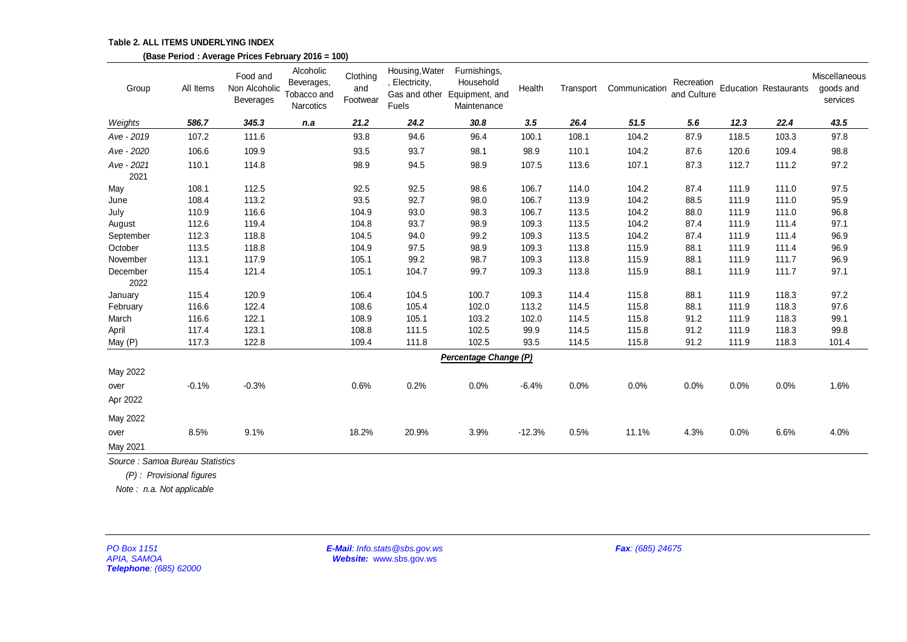|                                                              |                          | (Base Period: Average Prices February 2016 = 100) |                                                            |                             |                                                          |                                                                          |          |           |                  |                           |       |                              |                                        |
|--------------------------------------------------------------|--------------------------|---------------------------------------------------|------------------------------------------------------------|-----------------------------|----------------------------------------------------------|--------------------------------------------------------------------------|----------|-----------|------------------|---------------------------|-------|------------------------------|----------------------------------------|
| Group                                                        | All Items                | Food and<br>Non Alcoholic<br>Beverages            | Alcoholic<br>Beverages,<br>Tobacco and<br><b>Narcotics</b> | Clothing<br>and<br>Footwear | Housing, Water<br>, Electricity,<br>Fuels                | Furnishings,<br>Household<br>Gas and other Equipment, and<br>Maintenance | Health   | Transport | Communication    | Recreation<br>and Culture |       | <b>Education Restaurants</b> | Miscellaneous<br>goods and<br>services |
| Weights                                                      | 586.7                    | 345.3                                             | n.a                                                        | 21.2                        | 24.2                                                     | 30.8                                                                     | 3.5      | 26.4      | 51.5             | 5.6                       | 12.3  | 22.4                         | 43.5                                   |
| Ave - 2019                                                   | 107.2                    | 111.6                                             |                                                            | 93.8                        | 94.6                                                     | 96.4                                                                     | 100.1    | 108.1     | 104.2            | 87.9                      | 118.5 | 103.3                        | 97.8                                   |
| Ave - 2020                                                   | 106.6                    | 109.9                                             |                                                            | 93.5                        | 93.7                                                     | 98.1                                                                     | 98.9     | 110.1     | 104.2            | 87.6                      | 120.6 | 109.4                        | 98.8                                   |
| Ave - 2021<br>2021                                           | 110.1                    | 114.8                                             |                                                            | 98.9                        | 94.5                                                     | 98.9                                                                     | 107.5    | 113.6     | 107.1            | 87.3                      | 112.7 | 111.2                        | 97.2                                   |
| May                                                          | 108.1                    | 112.5                                             |                                                            | 92.5                        | 92.5                                                     | 98.6                                                                     | 106.7    | 114.0     | 104.2            | 87.4                      | 111.9 | 111.0                        | 97.5                                   |
| June                                                         | 108.4                    | 113.2                                             |                                                            | 93.5                        | 92.7                                                     | 98.0                                                                     | 106.7    | 113.9     | 104.2            | 88.5                      | 111.9 | 111.0                        | 95.9                                   |
| July                                                         | 110.9                    | 116.6                                             |                                                            | 104.9                       | 93.0                                                     | 98.3                                                                     | 106.7    | 113.5     | 104.2            | 88.0                      | 111.9 | 111.0                        | 96.8                                   |
| August                                                       | 112.6                    | 119.4                                             |                                                            | 104.8                       | 93.7                                                     | 98.9                                                                     | 109.3    | 113.5     | 104.2            | 87.4                      | 111.9 | 111.4                        | 97.1                                   |
| September                                                    | 112.3                    | 118.8                                             |                                                            | 104.5                       | 94.0                                                     | 99.2                                                                     | 109.3    | 113.5     | 104.2            | 87.4                      | 111.9 | 111.4                        | 96.9                                   |
| October                                                      | 113.5                    | 118.8                                             |                                                            | 104.9                       | 97.5                                                     | 98.9                                                                     | 109.3    | 113.8     | 115.9            | 88.1                      | 111.9 | 111.4                        | 96.9                                   |
| November                                                     | 113.1                    | 117.9                                             |                                                            | 105.1                       | 99.2                                                     | 98.7                                                                     | 109.3    | 113.8     | 115.9            | 88.1                      | 111.9 | 111.7                        | 96.9                                   |
| December<br>2022                                             | 115.4                    | 121.4                                             |                                                            | 105.1                       | 104.7                                                    | 99.7                                                                     | 109.3    | 113.8     | 115.9            | 88.1                      | 111.9 | 111.7                        | 97.1                                   |
| January                                                      | 115.4                    | 120.9                                             |                                                            | 106.4                       | 104.5                                                    | 100.7                                                                    | 109.3    | 114.4     | 115.8            | 88.1                      | 111.9 | 118.3                        | 97.2                                   |
| February                                                     | 116.6                    | 122.4                                             |                                                            | 108.6                       | 105.4                                                    | 102.0                                                                    | 113.2    | 114.5     | 115.8            | 88.1                      | 111.9 | 118.3                        | 97.6                                   |
| March                                                        | 116.6                    | 122.1                                             |                                                            | 108.9                       | 105.1                                                    | 103.2                                                                    | 102.0    | 114.5     | 115.8            | 91.2                      | 111.9 | 118.3                        | 99.1                                   |
| April                                                        | 117.4                    | 123.1                                             |                                                            | 108.8                       | 111.5                                                    | 102.5                                                                    | 99.9     | 114.5     | 115.8            | 91.2                      | 111.9 | 118.3                        | 99.8                                   |
| May (P)                                                      | 117.3                    | 122.8                                             |                                                            | 109.4                       | 111.8                                                    | 102.5                                                                    | 93.5     | 114.5     | 115.8            | 91.2                      | 111.9 | 118.3                        | 101.4                                  |
|                                                              |                          |                                                   |                                                            |                             |                                                          | Percentage Change (P)                                                    |          |           |                  |                           |       |                              |                                        |
| May 2022                                                     |                          |                                                   |                                                            |                             |                                                          |                                                                          |          |           |                  |                           |       |                              |                                        |
| over                                                         | $-0.1%$                  | $-0.3%$                                           |                                                            | 0.6%                        | 0.2%                                                     | 0.0%                                                                     | $-6.4%$  | 0.0%      | 0.0%             | 0.0%                      | 0.0%  | 0.0%                         | 1.6%                                   |
| Apr 2022                                                     |                          |                                                   |                                                            |                             |                                                          |                                                                          |          |           |                  |                           |       |                              |                                        |
| May 2022                                                     |                          |                                                   |                                                            |                             |                                                          |                                                                          |          |           |                  |                           |       |                              |                                        |
| over                                                         | 8.5%                     | 9.1%                                              |                                                            | 18.2%                       | 20.9%                                                    | 3.9%                                                                     | $-12.3%$ | 0.5%      | 11.1%            | 4.3%                      | 0.0%  | 6.6%                         | 4.0%                                   |
| May 2021                                                     |                          |                                                   |                                                            |                             |                                                          |                                                                          |          |           |                  |                           |       |                              |                                        |
| Source: Samoa Bureau Statistics<br>Note: n.a. Not applicable | (P): Provisional figures |                                                   |                                                            |                             |                                                          |                                                                          |          |           |                  |                           |       |                              |                                        |
| PO Box 1151<br><b>APIA, SAMOA</b><br>Telephone: (685) 62000  |                          |                                                   |                                                            |                             | E-Mail: Info.stats@sbs.gov.ws<br>Website: www.sbs.gov.ws |                                                                          |          |           | Fax: (685) 24675 |                           |       |                              |                                        |

**Table 2. ALL ITEMS UNDERLYING INDEX**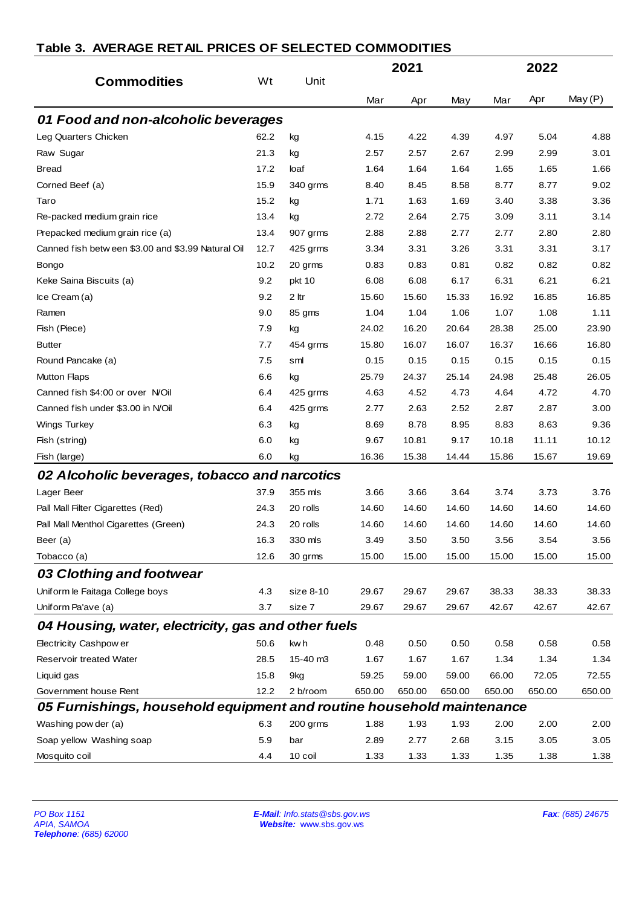|                                                                       |      |                                                          |        | 2021   |        |        | 2022   |                  |
|-----------------------------------------------------------------------|------|----------------------------------------------------------|--------|--------|--------|--------|--------|------------------|
| <b>Commodities</b>                                                    | Wt   | Unit                                                     |        |        |        |        |        |                  |
|                                                                       |      |                                                          | Mar    | Apr    | May    | Mar    | Apr    | May (P)          |
| 01 Food and non-alcoholic beverages                                   |      |                                                          |        |        |        |        |        |                  |
| Leg Quarters Chicken                                                  | 62.2 | kg                                                       | 4.15   | 4.22   | 4.39   | 4.97   | 5.04   | 4.88             |
| Raw Sugar                                                             | 21.3 | kg                                                       | 2.57   | 2.57   | 2.67   | 2.99   | 2.99   | 3.01             |
| <b>Bread</b>                                                          | 17.2 | loaf                                                     | 1.64   | 1.64   | 1.64   | 1.65   | 1.65   | 1.66             |
| Corned Beef (a)                                                       | 15.9 | 340 grms                                                 | 8.40   | 8.45   | 8.58   | 8.77   | 8.77   | 9.02             |
| Taro                                                                  | 15.2 | kg                                                       | 1.71   | 1.63   | 1.69   | 3.40   | 3.38   | 3.36             |
| Re-packed medium grain rice                                           | 13.4 | kg                                                       | 2.72   | 2.64   | 2.75   | 3.09   | 3.11   | 3.14             |
| Prepacked medium grain rice (a)                                       | 13.4 | 907 grms                                                 | 2.88   | 2.88   | 2.77   | 2.77   | 2.80   | 2.80             |
| Canned fish betw een \$3.00 and \$3.99 Natural Oil                    | 12.7 | 425 grms                                                 | 3.34   | 3.31   | 3.26   | 3.31   | 3.31   | 3.17             |
| Bongo                                                                 | 10.2 | 20 grms                                                  | 0.83   | 0.83   | 0.81   | 0.82   | 0.82   | 0.82             |
| Keke Saina Biscuits (a)                                               | 9.2  | pkt 10                                                   | 6.08   | 6.08   | 6.17   | 6.31   | 6.21   | 6.21             |
| Ice Cream (a)                                                         | 9.2  | 2 ltr                                                    | 15.60  | 15.60  | 15.33  | 16.92  | 16.85  | 16.85            |
| Ramen                                                                 | 9.0  | 85 gms                                                   | 1.04   | 1.04   | 1.06   | 1.07   | 1.08   | 1.11             |
| Fish (Piece)                                                          | 7.9  | kg                                                       | 24.02  | 16.20  | 20.64  | 28.38  | 25.00  | 23.90            |
| <b>Butter</b>                                                         | 7.7  | 454 grms                                                 | 15.80  | 16.07  | 16.07  | 16.37  | 16.66  | 16.80            |
| Round Pancake (a)                                                     | 7.5  | sml                                                      | 0.15   | 0.15   | 0.15   | 0.15   | 0.15   | 0.15             |
| <b>Mutton Flaps</b>                                                   | 6.6  | kg                                                       | 25.79  | 24.37  | 25.14  | 24.98  | 25.48  | 26.05            |
| Canned fish \$4:00 or over N/Oil                                      | 6.4  | 425 grms                                                 | 4.63   | 4.52   | 4.73   | 4.64   | 4.72   | 4.70             |
| Canned fish under \$3.00 in N/Oil                                     | 6.4  | 425 grms                                                 | 2.77   | 2.63   | 2.52   | 2.87   | 2.87   | 3.00             |
| <b>Wings Turkey</b>                                                   | 6.3  | kg                                                       | 8.69   | 8.78   | 8.95   | 8.83   | 8.63   | 9.36             |
| Fish (string)                                                         | 6.0  | kg                                                       | 9.67   | 10.81  | 9.17   | 10.18  | 11.11  | 10.12            |
| Fish (large)                                                          | 6.0  | kg                                                       | 16.36  | 15.38  | 14.44  | 15.86  | 15.67  | 19.69            |
| 02 Alcoholic beverages, tobacco and narcotics                         |      |                                                          |        |        |        |        |        |                  |
| Lager Beer                                                            | 37.9 | 355 mls                                                  | 3.66   | 3.66   | 3.64   | 3.74   | 3.73   | 3.76             |
| Pall Mall Filter Cigarettes (Red)                                     | 24.3 | 20 rolls                                                 | 14.60  | 14.60  | 14.60  | 14.60  | 14.60  | 14.60            |
| Pall Mall Menthol Cigarettes (Green)                                  | 24.3 | 20 rolls                                                 | 14.60  | 14.60  | 14.60  | 14.60  | 14.60  | 14.60            |
| Beer (a)                                                              | 16.3 | 330 mls                                                  | 3.49   | 3.50   | 3.50   | 3.56   | 3.54   | 3.56             |
| Tobacco (a)                                                           | 12.6 | 30 grms                                                  | 15.00  | 15.00  | 15.00  | 15.00  | 15.00  | 15.00            |
| 03 Clothing and footwear                                              |      |                                                          |        |        |        |        |        |                  |
| Uniform le Faitaga College boys                                       | 4.3  | size 8-10                                                | 29.67  | 29.67  | 29.67  | 38.33  | 38.33  | 38.33            |
| Uniform Pa'ave (a)                                                    | 3.7  | size 7                                                   | 29.67  | 29.67  | 29.67  | 42.67  | 42.67  | 42.67            |
| 04 Housing, water, electricity, gas and other fuels                   |      |                                                          |        |        |        |        |        |                  |
| Electricity Cashpow er                                                | 50.6 | kw h                                                     | 0.48   | 0.50   | 0.50   | 0.58   | 0.58   | 0.58             |
| Reservoir treated Water                                               | 28.5 | 15-40 m3                                                 | 1.67   | 1.67   | 1.67   | 1.34   | 1.34   | 1.34             |
| Liquid gas                                                            | 15.8 | 9kg                                                      | 59.25  | 59.00  | 59.00  | 66.00  | 72.05  | 72.55            |
| Government house Rent                                                 | 12.2 | 2 b/room                                                 | 650.00 | 650.00 | 650.00 | 650.00 | 650.00 | 650.00           |
| 05 Furnishings, household equipment and routine household maintenance |      |                                                          |        |        |        |        |        |                  |
| Washing pow der (a)                                                   | 6.3  | 200 grms                                                 | 1.88   | 1.93   | 1.93   | 2.00   | 2.00   | 2.00             |
| Soap yellow Washing soap                                              | 5.9  | bar                                                      | 2.89   | 2.77   | 2.68   | 3.15   | 3.05   | 3.05             |
| Mosquito coil                                                         | 4.4  | 10 coil                                                  | 1.33   | 1.33   | 1.33   | 1.35   | 1.38   | 1.38             |
|                                                                       |      |                                                          |        |        |        |        |        |                  |
| PO Box 1151<br><b>APIA, SAMOA</b><br>Telephone: (685) 62000           |      | E-Mail: Info.stats@sbs.gov.ws<br>Website: www.sbs.gov.ws |        |        |        |        |        | Fax: (685) 24675 |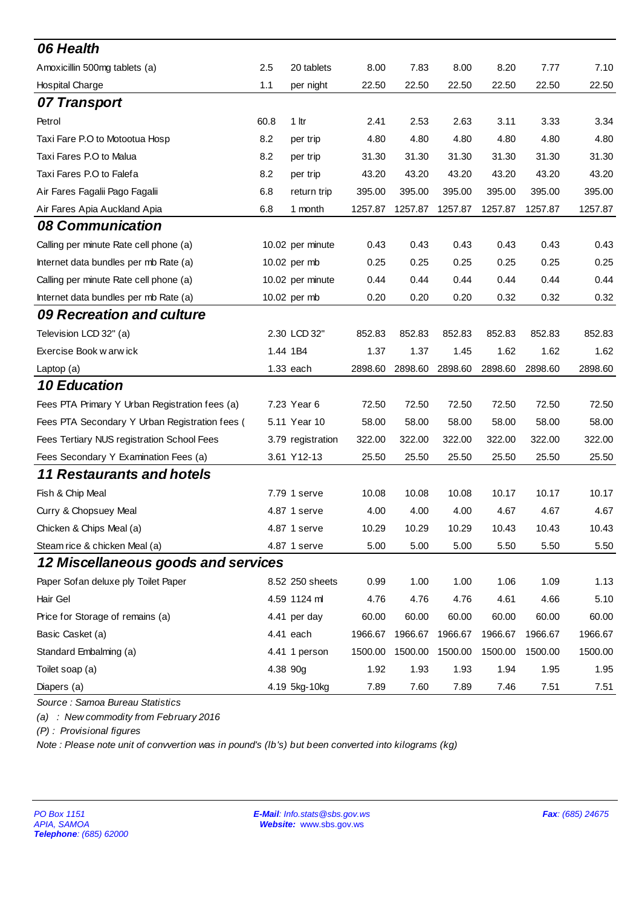| 06 Health                                                                                                                                                                                                    |          |                                                          |         |         |         |         |         |                  |
|--------------------------------------------------------------------------------------------------------------------------------------------------------------------------------------------------------------|----------|----------------------------------------------------------|---------|---------|---------|---------|---------|------------------|
| Amoxicillin 500mg tablets (a)                                                                                                                                                                                | 2.5      | 20 tablets                                               | 8.00    | 7.83    | 8.00    | 8.20    | 7.77    | 7.10             |
| Hospital Charge                                                                                                                                                                                              | 1.1      | per night                                                | 22.50   | 22.50   | 22.50   | 22.50   | 22.50   | 22.50            |
| 07 Transport                                                                                                                                                                                                 |          |                                                          |         |         |         |         |         |                  |
| Petrol                                                                                                                                                                                                       | 60.8     | 1 <sup>h</sup>                                           | 2.41    | 2.53    | 2.63    | 3.11    | 3.33    | 3.34             |
| Taxi Fare P.O to Motootua Hosp                                                                                                                                                                               | 8.2      | per trip                                                 | 4.80    | 4.80    | 4.80    | 4.80    | 4.80    | 4.80             |
| Taxi Fares P.O to Malua                                                                                                                                                                                      | 8.2      | per trip                                                 | 31.30   | 31.30   | 31.30   | 31.30   | 31.30   | 31.30            |
| Taxi Fares P.O to Falefa                                                                                                                                                                                     | 8.2      | per trip                                                 | 43.20   | 43.20   | 43.20   | 43.20   | 43.20   | 43.20            |
| Air Fares Fagalii Pago Fagalii                                                                                                                                                                               | 6.8      | return trip                                              | 395.00  | 395.00  | 395.00  | 395.00  | 395.00  | 395.00           |
| Air Fares Apia Auckland Apia                                                                                                                                                                                 | 6.8      | 1 month                                                  | 1257.87 | 1257.87 | 1257.87 | 1257.87 | 1257.87 | 1257.87          |
| 08 Communication                                                                                                                                                                                             |          |                                                          |         |         |         |         |         |                  |
| Calling per minute Rate cell phone (a)                                                                                                                                                                       |          | 10.02 per minute                                         | 0.43    | 0.43    | 0.43    | 0.43    | 0.43    | 0.43             |
| Internet data bundles per mb Rate (a)                                                                                                                                                                        |          | 10.02 per mb                                             | 0.25    | 0.25    | 0.25    | 0.25    | 0.25    | 0.25             |
| Calling per minute Rate cell phone (a)                                                                                                                                                                       |          | 10.02 per minute                                         | 0.44    | 0.44    | 0.44    | 0.44    | 0.44    | 0.44             |
| Internet data bundles per mb Rate (a)                                                                                                                                                                        |          | 10.02 per mb                                             | 0.20    | 0.20    | 0.20    | 0.32    | 0.32    | 0.32             |
| 09 Recreation and culture                                                                                                                                                                                    |          |                                                          |         |         |         |         |         |                  |
| Television LCD 32" (a)                                                                                                                                                                                       |          | 2.30 LCD 32"                                             | 852.83  | 852.83  | 852.83  | 852.83  | 852.83  | 852.83           |
| Exercise Book w arw ick                                                                                                                                                                                      |          | 1.44 1B4                                                 | 1.37    | 1.37    | 1.45    | 1.62    | 1.62    | 1.62             |
| Laptop (a)                                                                                                                                                                                                   |          | 1.33 each                                                | 2898.60 | 2898.60 | 2898.60 | 2898.60 | 2898.60 | 2898.60          |
| 10 Education                                                                                                                                                                                                 |          |                                                          |         |         |         |         |         |                  |
| Fees PTA Primary Y Urban Registration fees (a)                                                                                                                                                               |          | 7.23 Year 6                                              | 72.50   | 72.50   | 72.50   | 72.50   | 72.50   | 72.50            |
| Fees PTA Secondary Y Urban Registration fees (                                                                                                                                                               |          | 5.11 Year 10                                             | 58.00   | 58.00   | 58.00   | 58.00   | 58.00   | 58.00            |
| Fees Tertiary NUS registration School Fees                                                                                                                                                                   |          | 3.79 registration                                        | 322.00  | 322.00  | 322.00  | 322.00  | 322.00  | 322.00           |
| Fees Secondary Y Examination Fees (a)                                                                                                                                                                        |          | 3.61 Y12-13                                              | 25.50   | 25.50   | 25.50   | 25.50   | 25.50   | 25.50            |
| <b>11 Restaurants and hotels</b>                                                                                                                                                                             |          |                                                          |         |         |         |         |         |                  |
| Fish & Chip Meal                                                                                                                                                                                             |          | 7.79 1 serve                                             | 10.08   | 10.08   | 10.08   | 10.17   | 10.17   | 10.17            |
| Curry & Chopsuey Meal                                                                                                                                                                                        |          | 4.87 1 serve                                             | 4.00    | 4.00    | 4.00    | 4.67    | 4.67    | 4.67             |
| Chicken & Chips Meal (a)                                                                                                                                                                                     |          | 4.87 1 serve                                             | 10.29   | 10.29   | 10.29   | 10.43   | 10.43   | 10.43            |
| Steam rice & chicken Meal (a)                                                                                                                                                                                |          | 4.87 1 serve                                             | 5.00    | 5.00    | 5.00    | 5.50    | 5.50    | 5.50             |
| 12 Miscellaneous goods and services                                                                                                                                                                          |          |                                                          |         |         |         |         |         |                  |
| Paper Sofan deluxe ply Toilet Paper                                                                                                                                                                          |          | 8.52 250 sheets                                          | 0.99    | 1.00    | 1.00    | 1.06    | 1.09    | 1.13             |
| Hair Gel                                                                                                                                                                                                     |          | 4.59 1124 ml                                             | 4.76    | 4.76    | 4.76    | 4.61    | 4.66    | 5.10             |
| Price for Storage of remains (a)                                                                                                                                                                             |          | 4.41 per day                                             | 60.00   | 60.00   | 60.00   | 60.00   | 60.00   | 60.00            |
| Basic Casket (a)                                                                                                                                                                                             |          | 4.41 each                                                | 1966.67 | 1966.67 | 1966.67 | 1966.67 | 1966.67 | 1966.67          |
| Standard Embalming (a)                                                                                                                                                                                       |          | 4.41 1 person                                            | 1500.00 | 1500.00 | 1500.00 | 1500.00 | 1500.00 | 1500.00          |
| Toilet soap (a)                                                                                                                                                                                              | 4.38 90g |                                                          | 1.92    | 1.93    | 1.93    | 1.94    | 1.95    | 1.95             |
| Diapers (a)                                                                                                                                                                                                  |          | 4.19 5kg-10kg                                            | 7.89    | 7.60    | 7.89    | 7.46    | 7.51    | 7.51             |
| Source: Samoa Bureau Statistics<br>(a) : New commodity from February 2016<br>(P): Provisional figures<br>Note : Please note unit of convvertion was in pound's (Ib's) but been converted into kilograms (kg) |          |                                                          |         |         |         |         |         |                  |
| PO Box 1151<br><b>APIA, SAMOA</b><br>Telephone: (685) 62000                                                                                                                                                  |          | E-Mail: Info.stats@sbs.gov.ws<br>Website: www.sbs.gov.ws |         |         |         |         |         | Fax: (685) 24675 |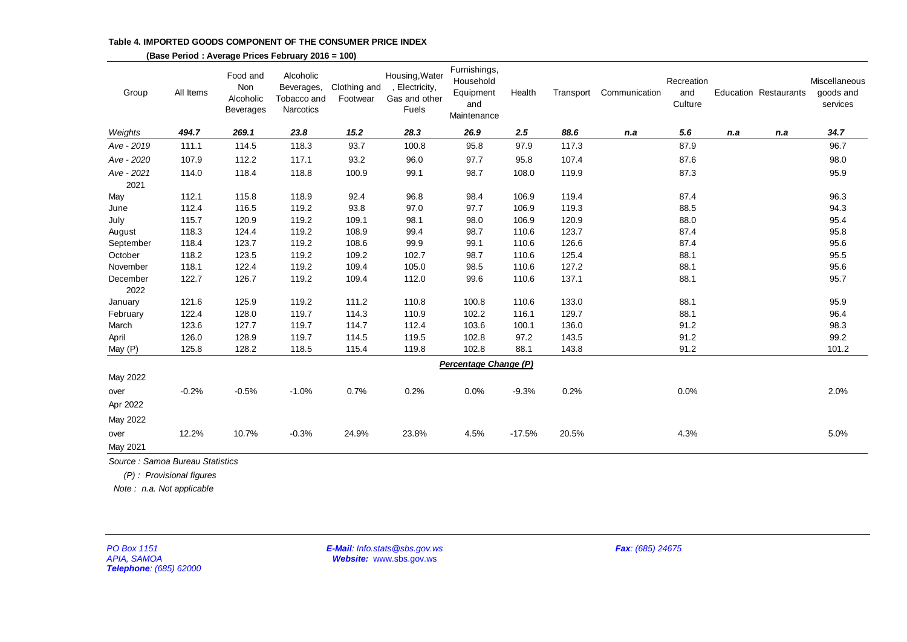**Table 4. IMPORTED GOODS COMPONENT OF THE CONSUMER PRICE INDEX**

| Group              | All Items | Food and<br>Non<br>Alcoholic<br><b>Beverages</b> | Alcoholic<br>Beverages,<br>Tobacco and<br><b>Narcotics</b> | Clothing and<br>Footwear | Housing, Water<br>, Electricity,<br>Gas and other<br>Fuels | Furnishings,<br>Household<br>Equipment<br>and<br>Maintenance | Health   | Transport | Communication | Recreation<br>and<br>Culture |     | Education Restaurants | Miscellaneous<br>goods and<br>services |
|--------------------|-----------|--------------------------------------------------|------------------------------------------------------------|--------------------------|------------------------------------------------------------|--------------------------------------------------------------|----------|-----------|---------------|------------------------------|-----|-----------------------|----------------------------------------|
| Weights            | 494.7     | 269.1                                            | 23.8                                                       | 15.2                     | 28.3                                                       | 26.9                                                         | 2.5      | 88.6      | n.a           | 5.6                          | n.a | n.a                   | 34.7                                   |
| Ave - 2019         | 111.1     | 114.5                                            | 118.3                                                      | 93.7                     | 100.8                                                      | 95.8                                                         | 97.9     | 117.3     |               | 87.9                         |     |                       | 96.7                                   |
| Ave - 2020         | 107.9     | 112.2                                            | 117.1                                                      | 93.2                     | 96.0                                                       | 97.7                                                         | 95.8     | 107.4     |               | 87.6                         |     |                       | 98.0                                   |
| Ave - 2021<br>2021 | 114.0     | 118.4                                            | 118.8                                                      | 100.9                    | 99.1                                                       | 98.7                                                         | 108.0    | 119.9     |               | 87.3                         |     |                       | 95.9                                   |
| May                | 112.1     | 115.8                                            | 118.9                                                      | 92.4                     | 96.8                                                       | 98.4                                                         | 106.9    | 119.4     |               | 87.4                         |     |                       | 96.3                                   |
| June               | 112.4     | 116.5                                            | 119.2                                                      | 93.8                     | 97.0                                                       | 97.7                                                         | 106.9    | 119.3     |               | 88.5                         |     |                       | 94.3                                   |
| July               | 115.7     | 120.9                                            | 119.2                                                      | 109.1                    | 98.1                                                       | 98.0                                                         | 106.9    | 120.9     |               | 88.0                         |     |                       | 95.4                                   |
| August             | 118.3     | 124.4                                            | 119.2                                                      | 108.9                    | 99.4                                                       | 98.7                                                         | 110.6    | 123.7     |               | 87.4                         |     |                       | 95.8                                   |
| September          | 118.4     | 123.7                                            | 119.2                                                      | 108.6                    | 99.9                                                       | 99.1                                                         | 110.6    | 126.6     |               | 87.4                         |     |                       | 95.6                                   |
| October            | 118.2     | 123.5                                            | 119.2                                                      | 109.2                    | 102.7                                                      | 98.7                                                         | 110.6    | 125.4     |               | 88.1                         |     |                       | 95.5                                   |
| November           | 118.1     | 122.4                                            | 119.2                                                      | 109.4                    | 105.0                                                      | 98.5                                                         | 110.6    | 127.2     |               | 88.1                         |     |                       | 95.6                                   |
| December<br>2022   | 122.7     | 126.7                                            | 119.2                                                      | 109.4                    | 112.0                                                      | 99.6                                                         | 110.6    | 137.1     |               | 88.1                         |     |                       | 95.7                                   |
| January            | 121.6     | 125.9                                            | 119.2                                                      | 111.2                    | 110.8                                                      | 100.8                                                        | 110.6    | 133.0     |               | 88.1                         |     |                       | 95.9                                   |
| February           | 122.4     | 128.0                                            | 119.7                                                      | 114.3                    | 110.9                                                      | 102.2                                                        | 116.1    | 129.7     |               | 88.1                         |     |                       | 96.4                                   |
| March              | 123.6     | 127.7                                            | 119.7                                                      | 114.7                    | 112.4                                                      | 103.6                                                        | 100.1    | 136.0     |               | 91.2                         |     |                       | 98.3                                   |
| April              | 126.0     | 128.9                                            | 119.7                                                      | 114.5                    | 119.5                                                      | 102.8                                                        | 97.2     | 143.5     |               | 91.2                         |     |                       | 99.2                                   |
| May (P)            | 125.8     | 128.2                                            | 118.5                                                      | 115.4                    | 119.8                                                      | 102.8                                                        | 88.1     | 143.8     |               | 91.2                         |     |                       | 101.2                                  |
|                    |           |                                                  |                                                            |                          |                                                            | Percentage Change (P)                                        |          |           |               |                              |     |                       |                                        |
| May 2022           |           |                                                  |                                                            |                          |                                                            |                                                              |          |           |               |                              |     |                       |                                        |
| over               | $-0.2%$   | $-0.5%$                                          | $-1.0%$                                                    | 0.7%                     | 0.2%                                                       | 0.0%                                                         | $-9.3%$  | 0.2%      |               | 0.0%                         |     |                       | 2.0%                                   |
| Apr 2022           |           |                                                  |                                                            |                          |                                                            |                                                              |          |           |               |                              |     |                       |                                        |
| May 2022           |           |                                                  |                                                            |                          |                                                            |                                                              |          |           |               |                              |     |                       |                                        |
| over<br>May 2021   | 12.2%     | 10.7%                                            | $-0.3%$                                                    | 24.9%                    | 23.8%                                                      | 4.5%                                                         | $-17.5%$ | 20.5%     |               | 4.3%                         |     |                       | 5.0%                                   |
|                    |           |                                                  |                                                            |                          |                                                            |                                                              |          |           |               |                              |     |                       |                                        |

 **(Base Period : Average Prices February 2016 = 100)**

*Source : Samoa Bureau Statistics*

 *(P) : Provisional figures*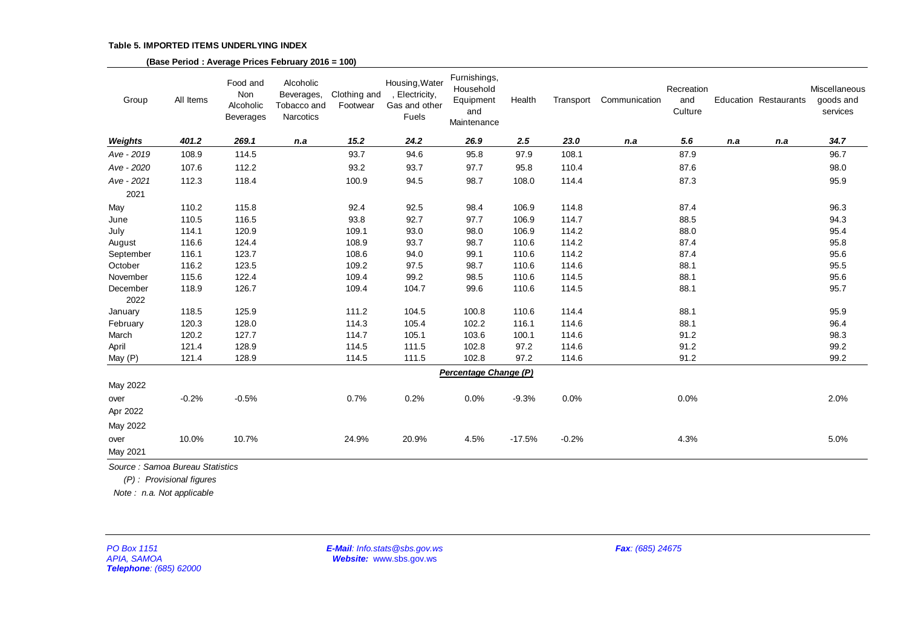|                                                             |                                                                                          |                                                  | (Base Period: Average Prices February 2016 = 100)   |                          |                                                            |                                                              |          |           |                  |                              |     |                              |                                        |
|-------------------------------------------------------------|------------------------------------------------------------------------------------------|--------------------------------------------------|-----------------------------------------------------|--------------------------|------------------------------------------------------------|--------------------------------------------------------------|----------|-----------|------------------|------------------------------|-----|------------------------------|----------------------------------------|
| Group                                                       | All Items                                                                                | Food and<br>Non<br>Alcoholic<br><b>Beverages</b> | Alcoholic<br>Beverages,<br>Tobacco and<br>Narcotics | Clothing and<br>Footwear | Housing, Water<br>, Electricity,<br>Gas and other<br>Fuels | Furnishings,<br>Household<br>Equipment<br>and<br>Maintenance | Health   | Transport | Communication    | Recreation<br>and<br>Culture |     | <b>Education Restaurants</b> | Miscellaneous<br>goods and<br>services |
| Weights                                                     | 401.2                                                                                    | 269.1                                            | n.a                                                 | 15.2                     | 24.2                                                       | 26.9                                                         | 2.5      | 23.0      | n.a              | 5.6                          | n.a | n.a                          | 34.7                                   |
| Ave - 2019                                                  | 108.9                                                                                    | 114.5                                            |                                                     | 93.7                     | 94.6                                                       | 95.8                                                         | 97.9     | 108.1     |                  | 87.9                         |     |                              | 96.7                                   |
| Ave - 2020                                                  | 107.6                                                                                    | 112.2                                            |                                                     | 93.2                     | 93.7                                                       | 97.7                                                         | 95.8     | 110.4     |                  | 87.6                         |     |                              | 98.0                                   |
| Ave - 2021                                                  | 112.3                                                                                    | 118.4                                            |                                                     | 100.9                    | 94.5                                                       | 98.7                                                         | 108.0    | 114.4     |                  | 87.3                         |     |                              | 95.9                                   |
| 2021                                                        |                                                                                          |                                                  |                                                     |                          |                                                            |                                                              |          |           |                  |                              |     |                              |                                        |
| May                                                         | 110.2                                                                                    | 115.8                                            |                                                     | 92.4                     | 92.5                                                       | 98.4                                                         | 106.9    | 114.8     |                  | 87.4                         |     |                              | 96.3                                   |
| June                                                        | 110.5                                                                                    | 116.5                                            |                                                     | 93.8                     | 92.7                                                       | 97.7                                                         | 106.9    | 114.7     |                  | 88.5                         |     |                              | 94.3                                   |
| July                                                        | 114.1                                                                                    | 120.9                                            |                                                     | 109.1                    | 93.0                                                       | 98.0                                                         | 106.9    | 114.2     |                  | 88.0                         |     |                              | 95.4                                   |
| August                                                      | 116.6                                                                                    | 124.4                                            |                                                     | 108.9                    | 93.7                                                       | 98.7                                                         | 110.6    | 114.2     |                  | 87.4                         |     |                              | 95.8                                   |
| September                                                   | 116.1                                                                                    | 123.7                                            |                                                     | 108.6                    | 94.0                                                       | 99.1                                                         | 110.6    | 114.2     |                  | 87.4                         |     |                              | 95.6                                   |
| October                                                     | 116.2                                                                                    | 123.5                                            |                                                     | 109.2                    | 97.5                                                       | 98.7                                                         | 110.6    | 114.6     |                  | 88.1                         |     |                              | 95.5                                   |
| November                                                    | 115.6                                                                                    | 122.4                                            |                                                     | 109.4                    | 99.2                                                       | 98.5                                                         | 110.6    | 114.5     |                  | 88.1                         |     |                              | 95.6                                   |
| December<br>2022                                            | 118.9                                                                                    | 126.7                                            |                                                     | 109.4                    | 104.7                                                      | 99.6                                                         | 110.6    | 114.5     |                  | 88.1                         |     |                              | 95.7                                   |
| January                                                     | 118.5                                                                                    | 125.9                                            |                                                     | 111.2                    | 104.5                                                      | 100.8                                                        | 110.6    | 114.4     |                  | 88.1                         |     |                              | 95.9                                   |
| February                                                    | 120.3                                                                                    | 128.0                                            |                                                     | 114.3                    | 105.4                                                      | 102.2                                                        | 116.1    | 114.6     |                  | 88.1                         |     |                              | 96.4                                   |
| March                                                       | 120.2                                                                                    | 127.7                                            |                                                     | 114.7                    | 105.1                                                      | 103.6                                                        | 100.1    | 114.6     |                  | 91.2                         |     |                              | 98.3                                   |
| April                                                       | 121.4                                                                                    | 128.9                                            |                                                     | 114.5                    | 111.5                                                      | 102.8                                                        | 97.2     | 114.6     |                  | 91.2                         |     |                              | 99.2                                   |
| May (P)                                                     | 121.4                                                                                    | 128.9                                            |                                                     | 114.5                    | 111.5                                                      | 102.8                                                        | 97.2     | 114.6     |                  | 91.2                         |     |                              | 99.2                                   |
|                                                             |                                                                                          |                                                  |                                                     |                          |                                                            | Percentage Change (P)                                        |          |           |                  |                              |     |                              |                                        |
| May 2022                                                    |                                                                                          |                                                  |                                                     |                          |                                                            |                                                              |          |           |                  |                              |     |                              |                                        |
| over                                                        | $-0.2%$                                                                                  | $-0.5%$                                          |                                                     | 0.7%                     | 0.2%                                                       | 0.0%                                                         | $-9.3%$  | 0.0%      |                  | 0.0%                         |     |                              | 2.0%                                   |
| Apr 2022                                                    |                                                                                          |                                                  |                                                     |                          |                                                            |                                                              |          |           |                  |                              |     |                              |                                        |
| May 2022                                                    |                                                                                          |                                                  |                                                     |                          |                                                            |                                                              |          |           |                  |                              |     |                              |                                        |
| over                                                        | 10.0%                                                                                    | 10.7%                                            |                                                     | 24.9%                    | 20.9%                                                      | 4.5%                                                         | $-17.5%$ | $-0.2%$   |                  | 4.3%                         |     |                              | 5.0%                                   |
| May 2021                                                    |                                                                                          |                                                  |                                                     |                          |                                                            |                                                              |          |           |                  |                              |     |                              |                                        |
|                                                             | Source: Samoa Bureau Statistics<br>(P): Provisional figures<br>Note: n.a. Not applicable |                                                  |                                                     |                          |                                                            |                                                              |          |           |                  |                              |     |                              |                                        |
| PO Box 1151<br><b>APIA, SAMOA</b><br>Telephone: (685) 62000 |                                                                                          |                                                  |                                                     |                          | E-Mail: Info.stats@sbs.gov.ws<br>Website: www.sbs.gov.ws   |                                                              |          |           | Fax: (685) 24675 |                              |     |                              |                                        |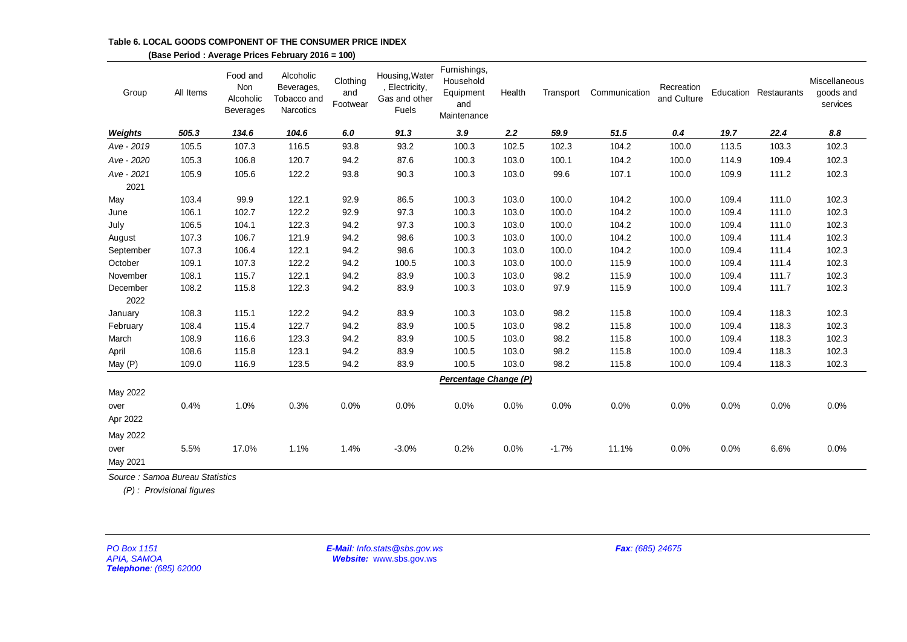|                                                             |                          |                                                  | (Base Period: Average Prices February 2016 = 100)   |                             |                                                            |                                                              |        |           |                  |                           |       |                       |                                        |
|-------------------------------------------------------------|--------------------------|--------------------------------------------------|-----------------------------------------------------|-----------------------------|------------------------------------------------------------|--------------------------------------------------------------|--------|-----------|------------------|---------------------------|-------|-----------------------|----------------------------------------|
| Group                                                       | All Items                | Food and<br>Non<br>Alcoholic<br><b>Beverages</b> | Alcoholic<br>Beverages,<br>Tobacco and<br>Narcotics | Clothing<br>and<br>Footwear | Housing, Water<br>, Electricity,<br>Gas and other<br>Fuels | Furnishings,<br>Household<br>Equipment<br>and<br>Maintenance | Health | Transport | Communication    | Recreation<br>and Culture |       | Education Restaurants | Miscellaneous<br>goods and<br>services |
| Weights                                                     | 505.3                    | 134.6                                            | 104.6                                               | 6.0                         | 91.3                                                       | 3.9                                                          | 2.2    | 59.9      | 51.5             | 0.4                       | 19.7  | 22.4                  | 8.8                                    |
| Ave - 2019                                                  | 105.5                    | 107.3                                            | 116.5                                               | 93.8                        | 93.2                                                       | 100.3                                                        | 102.5  | 102.3     | 104.2            | 100.0                     | 113.5 | 103.3                 | 102.3                                  |
| Ave - 2020                                                  | 105.3                    | 106.8                                            | 120.7                                               | 94.2                        | 87.6                                                       | 100.3                                                        | 103.0  | 100.1     | 104.2            | 100.0                     | 114.9 | 109.4                 | 102.3                                  |
| Ave - 2021<br>2021                                          | 105.9                    | 105.6                                            | 122.2                                               | 93.8                        | 90.3                                                       | 100.3                                                        | 103.0  | 99.6      | 107.1            | 100.0                     | 109.9 | 111.2                 | 102.3                                  |
| May                                                         | 103.4                    | 99.9                                             | 122.1                                               | 92.9                        | 86.5                                                       | 100.3                                                        | 103.0  | 100.0     | 104.2            | 100.0                     | 109.4 | 111.0                 | 102.3                                  |
| June                                                        | 106.1                    | 102.7                                            | 122.2                                               | 92.9                        | 97.3                                                       | 100.3                                                        | 103.0  | 100.0     | 104.2            | 100.0                     | 109.4 | 111.0                 | 102.3                                  |
| July                                                        | 106.5                    | 104.1                                            | 122.3                                               | 94.2                        | 97.3                                                       | 100.3                                                        | 103.0  | 100.0     | 104.2            | 100.0                     | 109.4 | 111.0                 | 102.3                                  |
| August                                                      | 107.3                    | 106.7                                            | 121.9                                               | 94.2                        | 98.6                                                       | 100.3                                                        | 103.0  | 100.0     | 104.2            | 100.0                     | 109.4 | 111.4                 | 102.3                                  |
| September                                                   | 107.3                    | 106.4                                            | 122.1                                               | 94.2                        | 98.6                                                       | 100.3                                                        | 103.0  | 100.0     | 104.2            | 100.0                     | 109.4 | 111.4                 | 102.3                                  |
| October                                                     | 109.1                    | 107.3                                            | 122.2                                               | 94.2                        | 100.5                                                      | 100.3                                                        | 103.0  | 100.0     | 115.9            | 100.0                     | 109.4 | 111.4                 | 102.3                                  |
| November                                                    | 108.1                    | 115.7                                            | 122.1                                               | 94.2                        | 83.9                                                       | 100.3                                                        | 103.0  | 98.2      | 115.9            | 100.0                     | 109.4 | 111.7                 | 102.3                                  |
| December<br>2022                                            | 108.2                    | 115.8                                            | 122.3                                               | 94.2                        | 83.9                                                       | 100.3                                                        | 103.0  | 97.9      | 115.9            | 100.0                     | 109.4 | 111.7                 | 102.3                                  |
| January                                                     | 108.3                    | 115.1                                            | 122.2                                               | 94.2                        | 83.9                                                       | 100.3                                                        | 103.0  | 98.2      | 115.8            | 100.0                     | 109.4 | 118.3                 | 102.3                                  |
| February                                                    | 108.4                    | 115.4                                            | 122.7                                               | 94.2                        | 83.9                                                       | 100.5                                                        | 103.0  | 98.2      | 115.8            | 100.0                     | 109.4 | 118.3                 | 102.3                                  |
| March                                                       | 108.9                    | 116.6                                            | 123.3                                               | 94.2                        | 83.9                                                       | 100.5                                                        | 103.0  | 98.2      | 115.8            | 100.0                     | 109.4 | 118.3                 | 102.3                                  |
| April                                                       | 108.6                    | 115.8                                            | 123.1                                               | 94.2                        | 83.9                                                       | 100.5                                                        | 103.0  | 98.2      | 115.8            | 100.0                     | 109.4 | 118.3                 | 102.3                                  |
| May (P)                                                     | 109.0                    | 116.9                                            | 123.5                                               | 94.2                        | 83.9                                                       | 100.5                                                        | 103.0  | 98.2      | 115.8            | 100.0                     | 109.4 | 118.3                 | 102.3                                  |
| May 2022                                                    |                          |                                                  |                                                     |                             |                                                            | Percentage Change (P)                                        |        |           |                  |                           |       |                       |                                        |
| over<br>Apr 2022                                            | 0.4%                     | 1.0%                                             | 0.3%                                                | 0.0%                        | 0.0%                                                       | 0.0%                                                         | 0.0%   | 0.0%      | 0.0%             | 0.0%                      | 0.0%  | 0.0%                  | 0.0%                                   |
| May 2022                                                    |                          |                                                  |                                                     |                             |                                                            |                                                              |        |           |                  |                           |       |                       |                                        |
| over<br>May 2021                                            | 5.5%                     | 17.0%                                            | 1.1%                                                | 1.4%                        | $-3.0%$                                                    | 0.2%                                                         | 0.0%   | $-1.7%$   | 11.1%            | 0.0%                      | 0.0%  | 6.6%                  | 0.0%                                   |
| Source: Samoa Bureau Statistics                             |                          |                                                  |                                                     |                             |                                                            |                                                              |        |           |                  |                           |       |                       |                                        |
|                                                             | (P): Provisional figures |                                                  |                                                     |                             |                                                            |                                                              |        |           |                  |                           |       |                       |                                        |
|                                                             |                          |                                                  |                                                     |                             |                                                            |                                                              |        |           |                  |                           |       |                       |                                        |
| PO Box 1151<br><b>APIA, SAMOA</b><br>Telephone: (685) 62000 |                          |                                                  |                                                     |                             | E-Mail: Info.stats@sbs.gov.ws<br>Website: www.sbs.gov.ws   |                                                              |        |           | Fax: (685) 24675 |                           |       |                       |                                        |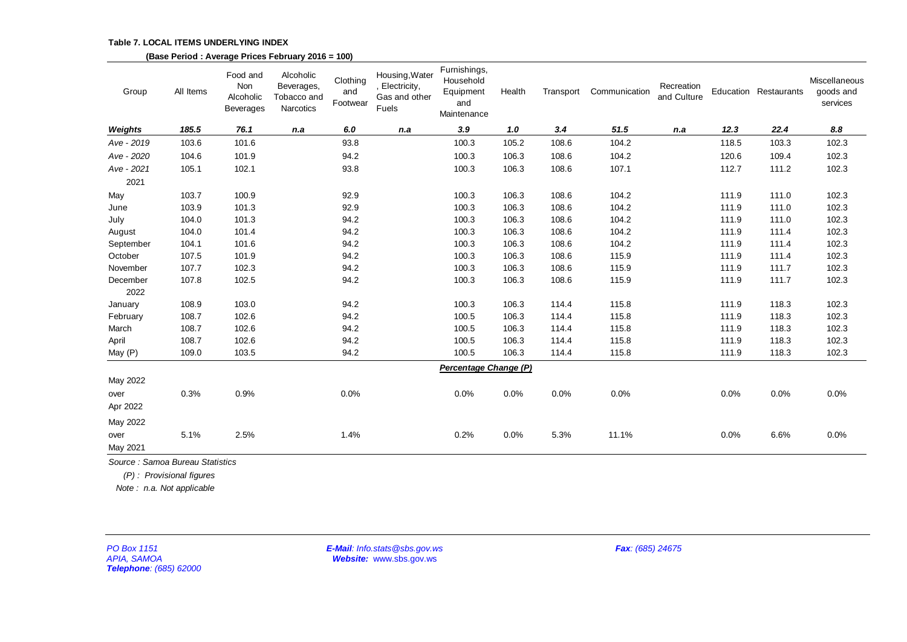#### **Table 7. LOCAL ITEMS UNDERLYING INDEX**

|                                                             |                           |                                           | (Base Period: Average Prices February 2016 = 100)   |                             |                                                            |                                                              |        |           |                  |                           |       |                       |                                        |
|-------------------------------------------------------------|---------------------------|-------------------------------------------|-----------------------------------------------------|-----------------------------|------------------------------------------------------------|--------------------------------------------------------------|--------|-----------|------------------|---------------------------|-------|-----------------------|----------------------------------------|
| Group                                                       | All Items                 | Food and<br>Non<br>Alcoholic<br>Beverages | Alcoholic<br>Beverages,<br>Tobacco and<br>Narcotics | Clothing<br>and<br>Footwear | Housing, Water<br>, Electricity,<br>Gas and other<br>Fuels | Furnishings,<br>Household<br>Equipment<br>and<br>Maintenance | Health | Transport | Communication    | Recreation<br>and Culture |       | Education Restaurants | Miscellaneous<br>goods and<br>services |
| Weights                                                     | 185.5                     | 76.1                                      | n.a                                                 | 6.0                         | n.a                                                        | 3.9                                                          | 1.0    | 3.4       | 51.5             | n.a                       | 12.3  | 22.4                  | 8.8                                    |
| Ave - 2019                                                  | 103.6                     | 101.6                                     |                                                     | 93.8                        |                                                            | 100.3                                                        | 105.2  | 108.6     | 104.2            |                           | 118.5 | 103.3                 | 102.3                                  |
| Ave - 2020                                                  | 104.6                     | 101.9                                     |                                                     | 94.2                        |                                                            | 100.3                                                        | 106.3  | 108.6     | 104.2            |                           | 120.6 | 109.4                 | 102.3                                  |
| Ave - 2021                                                  | 105.1                     | 102.1                                     |                                                     | 93.8                        |                                                            | 100.3                                                        | 106.3  | 108.6     | 107.1            |                           | 112.7 | 111.2                 | 102.3                                  |
| 2021                                                        |                           |                                           |                                                     |                             |                                                            |                                                              |        |           |                  |                           |       |                       |                                        |
| May                                                         | 103.7                     | 100.9                                     |                                                     | 92.9                        |                                                            | 100.3                                                        | 106.3  | 108.6     | 104.2            |                           | 111.9 | 111.0                 | 102.3                                  |
| June                                                        | 103.9                     | 101.3                                     |                                                     | 92.9                        |                                                            | 100.3                                                        | 106.3  | 108.6     | 104.2            |                           | 111.9 | 111.0                 | 102.3                                  |
| July                                                        | 104.0                     | 101.3                                     |                                                     | 94.2                        |                                                            | 100.3                                                        | 106.3  | 108.6     | 104.2            |                           | 111.9 | 111.0                 | 102.3                                  |
| August                                                      | 104.0                     | 101.4                                     |                                                     | 94.2                        |                                                            | 100.3                                                        | 106.3  | 108.6     | 104.2            |                           | 111.9 | 111.4                 | 102.3                                  |
| September                                                   | 104.1                     | 101.6                                     |                                                     | 94.2                        |                                                            | 100.3                                                        | 106.3  | 108.6     | 104.2            |                           | 111.9 | 111.4                 | 102.3                                  |
| October                                                     | 107.5                     | 101.9                                     |                                                     | 94.2                        |                                                            | 100.3                                                        | 106.3  | 108.6     | 115.9            |                           | 111.9 | 111.4                 | 102.3                                  |
| November                                                    | 107.7                     | 102.3                                     |                                                     | 94.2                        |                                                            | 100.3                                                        | 106.3  | 108.6     | 115.9            |                           | 111.9 | 111.7                 | 102.3                                  |
| December<br>2022                                            | 107.8                     | 102.5                                     |                                                     | 94.2                        |                                                            | 100.3                                                        | 106.3  | 108.6     | 115.9            |                           | 111.9 | 111.7                 | 102.3                                  |
| January                                                     | 108.9                     | 103.0                                     |                                                     | 94.2                        |                                                            | 100.3                                                        | 106.3  | 114.4     | 115.8            |                           | 111.9 | 118.3                 | 102.3                                  |
| February                                                    | 108.7                     | 102.6                                     |                                                     | 94.2                        |                                                            | 100.5                                                        | 106.3  | 114.4     | 115.8            |                           | 111.9 | 118.3                 | 102.3                                  |
| March                                                       | 108.7                     | 102.6                                     |                                                     | 94.2                        |                                                            | 100.5                                                        | 106.3  | 114.4     | 115.8            |                           | 111.9 | 118.3                 | 102.3                                  |
| April                                                       | 108.7                     | 102.6                                     |                                                     | 94.2                        |                                                            | 100.5                                                        | 106.3  | 114.4     | 115.8            |                           | 111.9 | 118.3                 | 102.3                                  |
| May (P)                                                     | 109.0                     | 103.5                                     |                                                     | 94.2                        |                                                            | 100.5                                                        | 106.3  | 114.4     | 115.8            |                           | 111.9 | 118.3                 | 102.3                                  |
|                                                             |                           |                                           |                                                     |                             |                                                            | Percentage Change (P)                                        |        |           |                  |                           |       |                       |                                        |
| May 2022                                                    |                           |                                           |                                                     |                             |                                                            |                                                              |        |           |                  |                           |       |                       |                                        |
| over                                                        | 0.3%                      | 0.9%                                      |                                                     | 0.0%                        |                                                            | 0.0%                                                         | 0.0%   | 0.0%      | 0.0%             |                           | 0.0%  | 0.0%                  | 0.0%                                   |
| Apr 2022                                                    |                           |                                           |                                                     |                             |                                                            |                                                              |        |           |                  |                           |       |                       |                                        |
| May 2022                                                    |                           |                                           |                                                     |                             |                                                            |                                                              |        |           |                  |                           |       |                       |                                        |
| over                                                        | 5.1%                      | 2.5%                                      |                                                     | 1.4%                        |                                                            | 0.2%                                                         | 0.0%   | 5.3%      | 11.1%            |                           | 0.0%  | 6.6%                  | 0.0%                                   |
| May 2021                                                    |                           |                                           |                                                     |                             |                                                            |                                                              |        |           |                  |                           |       |                       |                                        |
| Source: Samoa Bureau Statistics                             |                           |                                           |                                                     |                             |                                                            |                                                              |        |           |                  |                           |       |                       |                                        |
|                                                             | (P): Provisional figures  |                                           |                                                     |                             |                                                            |                                                              |        |           |                  |                           |       |                       |                                        |
|                                                             | Note: n.a. Not applicable |                                           |                                                     |                             |                                                            |                                                              |        |           |                  |                           |       |                       |                                        |
|                                                             |                           |                                           |                                                     |                             |                                                            |                                                              |        |           |                  |                           |       |                       |                                        |
| PO Box 1151<br><b>APIA, SAMOA</b><br>Telephone: (685) 62000 |                           |                                           |                                                     |                             | E-Mail: Info.stats@sbs.gov.ws<br>Website: www.sbs.gov.ws   |                                                              |        |           | Fax: (685) 24675 |                           |       |                       |                                        |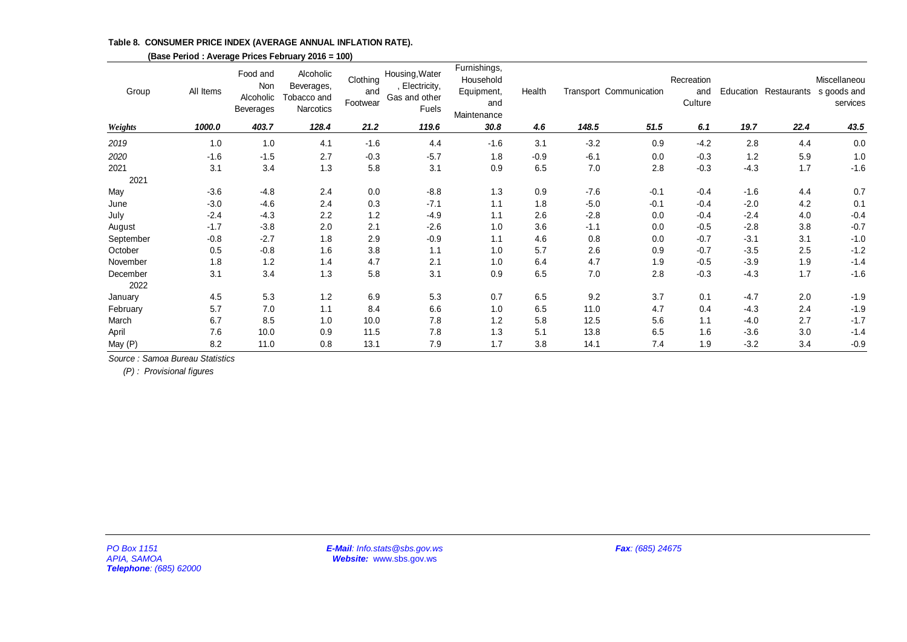**Table 8. CONSUMER PRICE INDEX (AVERAGE ANNUAL INFLATION RATE).**

| Group                                                        | All Items | Food and<br>Non<br>Alcoholic<br>Beverages | Alcoholic<br>Beverages,<br>Tobacco and<br>Narcotics | Clothing<br>and<br>Footwear | Housing, Water<br>, Electricity,<br>Gas and other<br>Fuels | Furnishings,<br>Household<br>Equipment,<br>and<br>Maintenance | Health |        | Transport Communication | Recreation<br>and<br>Culture |        |         | Miscellaneou<br>Education Restaurants s goods and<br>services |
|--------------------------------------------------------------|-----------|-------------------------------------------|-----------------------------------------------------|-----------------------------|------------------------------------------------------------|---------------------------------------------------------------|--------|--------|-------------------------|------------------------------|--------|---------|---------------------------------------------------------------|
| Weights                                                      | 1000.0    | 403.7                                     | 128.4                                               | 21.2                        | 119.6                                                      | 30.8                                                          | 4.6    | 148.5  | 51.5                    | 6.1                          | 19.7   | 22.4    | 43.5                                                          |
| 2019                                                         | 1.0       | 1.0                                       | 4.1                                                 | $-1.6$                      | 4.4                                                        | $-1.6$                                                        | 3.1    | $-3.2$ | 0.9                     | $-4.2$                       | 2.8    | 4.4     | $0.0\,$                                                       |
| 2020                                                         | $-1.6$    | $-1.5$                                    | 2.7                                                 | $-0.3$                      | $-5.7$                                                     | 1.8                                                           | $-0.9$ | $-6.1$ | $0.0\,$                 | $-0.3$                       | $1.2$  | 5.9     | $1.0\,$                                                       |
| 2021<br>2021                                                 | 3.1       | 3.4                                       | 1.3                                                 | 5.8                         | 3.1                                                        | 0.9                                                           | 6.5    | 7.0    | $2.8\,$                 | $-0.3$                       | $-4.3$ | 1.7     | $-1.6$                                                        |
| May                                                          | $-3.6$    | $-4.8$                                    | 2.4                                                 | $0.0\,$                     | $-8.8$                                                     | 1.3                                                           | 0.9    | $-7.6$ | $-0.1$                  | $-0.4$                       | $-1.6$ | 4.4     | 0.7                                                           |
| June                                                         | $-3.0$    | $-4.6$                                    | 2.4                                                 | 0.3                         | $-7.1$                                                     | 1.1                                                           | 1.8    | $-5.0$ | $-0.1$                  | $-0.4$                       | $-2.0$ | 4.2     | 0.1                                                           |
| July                                                         | $-2.4$    | $-4.3$                                    | 2.2                                                 | $1.2$                       | $-4.9$                                                     | 1.1                                                           | 2.6    | $-2.8$ | 0.0                     | $-0.4$                       | $-2.4$ | 4.0     | $-0.4$                                                        |
| August                                                       | $-1.7$    | $-3.8$                                    | 2.0                                                 | 2.1                         | $-2.6$                                                     | 1.0                                                           | 3.6    | $-1.1$ | $0.0\,$                 | $-0.5$                       | $-2.8$ | 3.8     | $-0.7$                                                        |
| September                                                    | $-0.8$    | $-2.7$                                    | 1.8                                                 | 2.9                         | $-0.9$                                                     | 1.1                                                           | 4.6    | 0.8    | $0.0\,$                 | $-0.7$                       | $-3.1$ | 3.1     | $-1.0$                                                        |
| October                                                      | 0.5       | $-0.8$                                    | 1.6                                                 | $3.8\,$                     | 1.1                                                        | 1.0                                                           | 5.7    | 2.6    | 0.9                     | $-0.7$                       | $-3.5$ | 2.5     | $-1.2$                                                        |
| November                                                     | 1.8       | $1.2$                                     | 1.4                                                 | 4.7                         | 2.1                                                        | 1.0                                                           | 6.4    | 4.7    | 1.9                     | $-0.5$                       | $-3.9$ | 1.9     | $-1.4$                                                        |
| December<br>2022                                             | 3.1       | 3.4                                       | 1.3                                                 | 5.8                         | 3.1                                                        | 0.9                                                           | 6.5    | 7.0    | 2.8                     | $-0.3$                       | $-4.3$ | 1.7     | $-1.6$                                                        |
| January                                                      | 4.5       | 5.3                                       | 1.2                                                 | $6.9\,$                     | 5.3                                                        | 0.7                                                           | 6.5    | 9.2    | 3.7                     | 0.1                          | $-4.7$ | 2.0     | $-1.9$                                                        |
| February                                                     | 5.7       | $7.0\,$                                   | 1.1                                                 | 8.4                         | 6.6                                                        | $1.0$                                                         | 6.5    | 11.0   | 4.7                     | 0.4                          | $-4.3$ | 2.4     | $-1.9$                                                        |
| March                                                        | 6.7       | 8.5                                       | 1.0                                                 | 10.0                        | 7.8                                                        | $1.2$                                                         | 5.8    | 12.5   | 5.6                     | 1.1                          | $-4.0$ | 2.7     | $-1.7$                                                        |
| April                                                        | 7.6       | 10.0                                      | 0.9                                                 | 11.5                        | $7.8\,$                                                    | 1.3                                                           | 5.1    | 13.8   | $6.5\,$                 | 1.6                          | $-3.6$ | $3.0\,$ | $-1.4$                                                        |
| May (P)                                                      | 8.2       | 11.0                                      | 0.8                                                 | 13.1                        | 7.9                                                        | 1.7                                                           | 3.8    | 14.1   | 7.4                     | 1.9                          | $-3.2$ | 3.4     | $-0.9$                                                        |
| Source : Samoa Bureau Statistics<br>(P): Provisional figures |           |                                           |                                                     |                             |                                                            |                                                               |        |        |                         |                              |        |         |                                                               |
| PO Box 1151<br><b>APIA, SAMOA</b><br>Telephone: (685) 62000  |           |                                           |                                                     |                             | E-Mail: Info.stats@sbs.gov.ws<br>Website: www.sbs.gov.ws   |                                                               |        |        | Fax: (685) 24675        |                              |        |         |                                                               |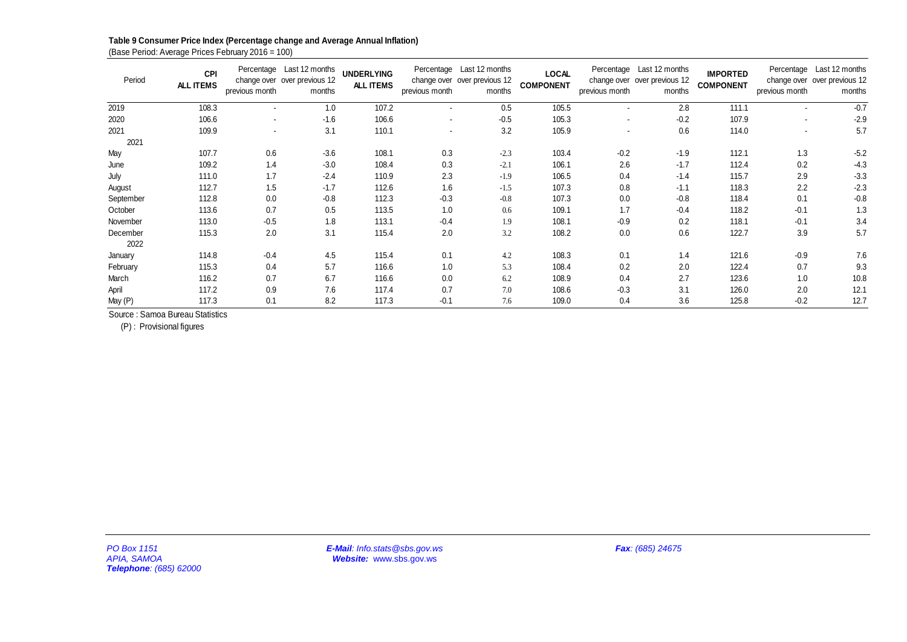# **Table 9 Consumer Price Index (Percentage change and Average Annual Inflation)**

| Period                                               | CPI<br>ALL ITEMS | previous month | Percentage Last 12 months<br>change over over previous 12<br>months | <b>UNDERLYING</b><br>ALL ITEMS                           | previous month | Percentage Last 12 months<br>change over over previous 12<br>months | <b>LOCAL</b><br><b>COMPONENT</b> | previous month           | Percentage Last 12 months<br>change over over previous 12<br>months | <b>IMPORTED</b><br><b>COMPONENT</b> | previous month | Percentage Last 12 months<br>change over over previous 12<br>months |
|------------------------------------------------------|------------------|----------------|---------------------------------------------------------------------|----------------------------------------------------------|----------------|---------------------------------------------------------------------|----------------------------------|--------------------------|---------------------------------------------------------------------|-------------------------------------|----------------|---------------------------------------------------------------------|
| 2019                                                 | 108.3            | $\Box$         | 1.0                                                                 | 107.2                                                    | $\blacksquare$ | 0.5                                                                 | 105.5                            | ä,                       | 2.8                                                                 | 111.1                               | $\blacksquare$ | $-0.7$                                                              |
| 2020                                                 | 106.6            | $\blacksquare$ | $-1.6$                                                              | 106.6                                                    | $\blacksquare$ | $-0.5$                                                              | 105.3                            | $\overline{\phantom{a}}$ | $-0.2$                                                              | 107.9                               | $\sim$         | $-2.9$                                                              |
| 2021<br>2021                                         | 109.9            | $\blacksquare$ | 3.1                                                                 | 110.1                                                    | $\blacksquare$ | 3.2                                                                 | 105.9                            | $\blacksquare$           | 0.6                                                                 | 114.0                               | $\blacksquare$ | 5.7                                                                 |
| May                                                  | 107.7            | $0.6\,$        | $-3.6$                                                              | 108.1                                                    | $0.3\,$        | $-2.3$                                                              | 103.4                            | $-0.2$                   | $-1.9$                                                              | 112.1                               | 1.3            | $-5.2$                                                              |
| June                                                 | 109.2            | 1.4            | $-3.0$                                                              | 108.4                                                    | $0.3\,$        | $-2.1$                                                              | 106.1                            | 2.6                      | $-1.7$                                                              | 112.4                               | $0.2\,$        | $-4.3$                                                              |
| July                                                 | 111.0            | 1.7            | $-2.4$                                                              | 110.9                                                    | $2.3\,$        | $-1.9$                                                              | 106.5                            | 0.4                      | $-1.4$                                                              | 115.7                               | $2.9\,$        | $-3.3$                                                              |
| August                                               | 112.7            | $1.5$          | $-1.7$                                                              | 112.6                                                    | 1.6            | $-1.5$                                                              | 107.3                            | $0.8\,$                  | $-1.1$                                                              | 118.3                               | 2.2            | $-2.3$                                                              |
| September                                            | 112.8            | $0.0\,$        | $-0.8$                                                              | 112.3                                                    | $-0.3$         | $-0.8$                                                              | 107.3                            | $0.0\,$                  | $-0.8$                                                              | 118.4                               | 0.1            | $-0.8$                                                              |
| October                                              | 113.6            | 0.7            | 0.5                                                                 | 113.5                                                    | 1.0            | 0.6                                                                 | 109.1                            | 1.7                      | $-0.4$                                                              | 118.2                               | $-0.1$         | 1.3                                                                 |
| November                                             | 113.0            | $-0.5$         | 1.8                                                                 | 113.1                                                    | $-0.4$         | $1.9\,$                                                             | 108.1                            | $-0.9$                   | 0.2                                                                 | 118.1                               | $-0.1$         | 3.4                                                                 |
| December<br>2022                                     | 115.3            | $2.0\,$        | 3.1                                                                 | 115.4                                                    | 2.0            | 3.2                                                                 | 108.2                            | 0.0                      | 0.6                                                                 | 122.7                               | 3.9            | 5.7                                                                 |
| January                                              | 114.8            | $-0.4$         | 4.5                                                                 | 115.4                                                    | 0.1            | 4.2                                                                 | 108.3                            | 0.1                      | 1.4                                                                 | 121.6                               | $-0.9$         | 7.6                                                                 |
| February                                             | 115.3            | 0.4            | $5.7\,$                                                             | 116.6                                                    | $1.0\,$        | 5.3                                                                 | 108.4                            | 0.2                      | $2.0\,$                                                             | 122.4                               | 0.7            | 9.3                                                                 |
| March                                                | 116.2            | 0.7            | 6.7                                                                 | 116.6                                                    | $0.0\,$        | $6.2\,$                                                             | 108.9                            | 0.4                      | 2.7                                                                 | 123.6                               | 1.0            | 10.8                                                                |
| April                                                | 117.2            | $0.9\,$        | $7.6\,$                                                             | 117.4                                                    | 0.7            | 7.0                                                                 | 108.6                            | $-0.3$                   | 3.1                                                                 | 126.0                               | $2.0\,$        | 12.1                                                                |
| May (P)                                              | 117.3            | 0.1            | $8.2\,$                                                             | 117.3                                                    | $-0.1$         | $7.6\,$                                                             | 109.0                            | 0.4                      | 3.6                                                                 | 125.8                               | $-0.2$         | 12.7                                                                |
|                                                      |                  |                |                                                                     |                                                          |                |                                                                     |                                  |                          |                                                                     |                                     |                |                                                                     |
| PO Box 1151<br>APIA, SAMOA<br>Telephone: (685) 62000 |                  |                |                                                                     | E-Mail: Info.stats@sbs.gov.ws<br>Website: www.sbs.gov.ws |                |                                                                     |                                  |                          | Fax: (685) 24675                                                    |                                     |                |                                                                     |